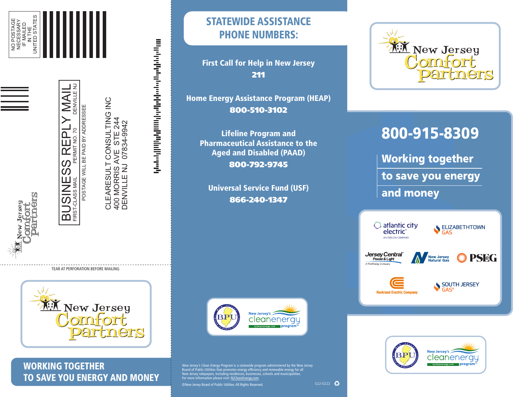

BUSINESS REPLY MAI

FIRST-CLASS MAIL

FIRST-CLASS MAIL PERMIT NO. 70

POSTAGE WILL BE PAID BY ADDRESSEE

 $\overline{\phantom{0}}$ 

DENVILLE NJ

 $\begin{array}{ll} \mathbb{F}\mathsf{RST}\text{-}\text{Class MAL} & \mathsf{PERMITNO},70 & \mathsf{DENWIL} \\ \hline \mathsf{FIRST}\text{-}\text{LASS MAL} & \mathsf{PERMITNO},70 & \mathsf{DENWIL} \\ \mathsf{POSTAGE WILL BE PAID BY ADDRESSEE} \\ \mathsf{CLEARESULT CONSULTTING ING INCG} \\ \mathsf{A10} & \mathsf{ADORRBS AVE} & \mathsf{STE}\ 244 \\ \hline \mathsf{DENWILLE NUILE NUJ} & \mathsf{O7834-9942} \end{array}$ DENVILLE NJ 07834-9942

الالهوا وتوازع فروا ومواجئ والمواري والمواري والمواري والمواري





WORKING TOGETHER TO SAVE YOU ENERGY AND MONEY

## STATEWIDE ASSISTANCE PHONE NUMBERS:

First Call for Help in New Jersey 211

Home Energy Assistance Program (HEAP) 800-510-3102

Lifeline Program and Pharmaceutical Assistance to the Aged and Disabled (PAAD) 800-792-9745

Universal Service Fund (USF) 866-240-1347



*New Jersey's Clean Energy Program* is a statewide program administered by the New Jersey<br>Board of Public Utilities that promotes energy efficiency and renewable energy for all New Jersey ratepayers, including residences, businesses, schools and municipalities.<br>For more information please visit: <u>NJCleanEnergy.com</u>.

©New Jersey Board of Public Utilities. All Rights Reserved.



# 800-915-8309

Working together to save you energy and money





 $522-0222$